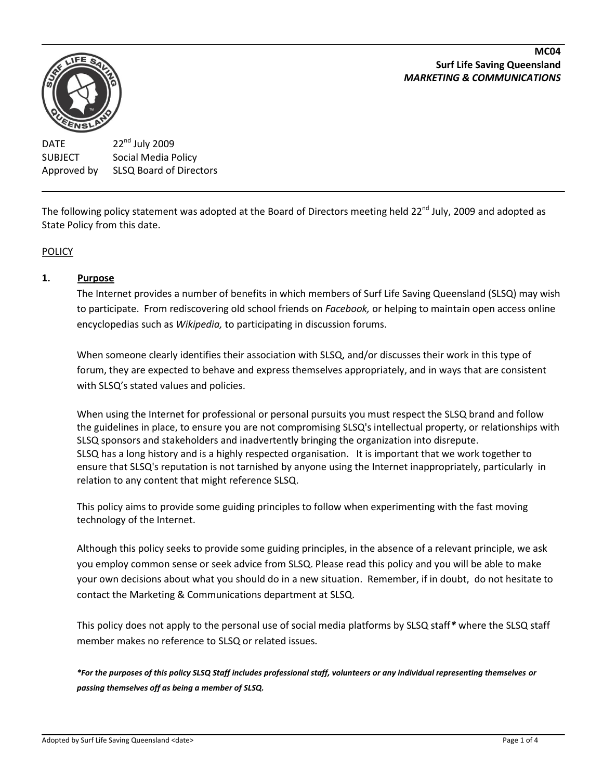#### **MC04 Surf Life Saving Queensland** *MARKETING & COMMUNICATIONS*



DATE  $22^{nd}$  July 2009 SUBJECT Social Media Policy Approved by SLSQ Board of Directors

The following policy statement was adopted at the Board of Directors meeting held 22<sup>nd</sup> July, 2009 and adopted as State Policy from this date.

# **POLICY**

## **1. Purpose**

The Internet provides a number of benefits in which members of Surf Life Saving Queensland (SLSQ) may wish to participate. From rediscovering old school friends on *Facebook,* or helping to maintain open access online encyclopedias such as *Wikipedia,* to participating in discussion forums.

When someone clearly identifies their association with SLSQ, and/or discusses their work in this type of forum, they are expected to behave and express themselves appropriately, and in ways that are consistent with SLSQ's stated values and policies.

When using the Internet for professional or personal pursuits you must respect the SLSQ brand and follow the guidelines in place, to ensure you are not compromising SLSQ's intellectual property, or relationships with SLSQ sponsors and stakeholders and inadvertently bringing the organization into disrepute. SLSQ has a long history and is a highly respected organisation. It is important that we work together to ensure that SLSQ's reputation is not tarnished by anyone using the Internet inappropriately, particularly in relation to any content that might reference SLSQ.

This policy aims to provide some guiding principles to follow when experimenting with the fast moving technology of the Internet.

Although this policy seeks to provide some guiding principles, in the absence of a relevant principle, we ask you employ common sense or seek advice from SLSQ. Please read this policy and you will be able to make your own decisions about what you should do in a new situation. Remember, if in doubt, do not hesitate to contact the Marketing & Communications department at SLSQ.

This policy does not apply to the personal use of social media platforms by SLSQ staff*\** where the SLSQ staff member makes no reference to SLSQ or related issues.

*\*For the purposes of this policy SLSQ Staff includes professional staff, volunteers or any individual representing themselves or passing themselves off as being a member of SLSQ.*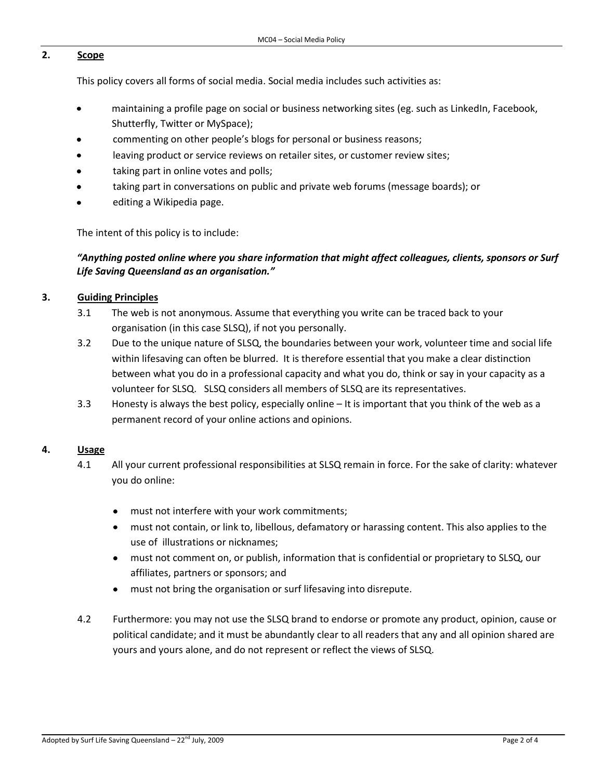## **2. Scope**

This policy covers all forms of social media. Social media includes such activities as:

- maintaining a profile page on social or business networking sites (eg. such as LinkedIn, Facebook, Shutterfly, Twitter or MySpace);
- commenting on other people's blogs for personal or business reasons;
- leaving product or service reviews on retailer sites, or customer review sites;
- taking part in online votes and polls;
- taking part in conversations on public and private web forums (message boards); or
- editing a Wikipedia page.

The intent of this policy is to include:

## *"Anything posted online where you share information that might affect colleagues, clients, sponsors or Surf Life Saving Queensland as an organisation."*

## **3. Guiding Principles**

- 3.1 The web is not anonymous. Assume that everything you write can be traced back to your organisation (in this case SLSQ), if not you personally.
- 3.2 Due to the unique nature of SLSQ, the boundaries between your work, volunteer time and social life within lifesaving can often be blurred. It is therefore essential that you make a clear distinction between what you do in a professional capacity and what you do, think or say in your capacity as a volunteer for SLSQ. SLSQ considers all members of SLSQ are its representatives.
- 3.3 Honesty is always the best policy, especially online It is important that you think of the web as a permanent record of your online actions and opinions.

### **4. Usage**

- 4.1 All your current professional responsibilities at SLSQ remain in force. For the sake of clarity: whatever you do online:
	- must not interfere with your work commitments;
	- must not contain, or link to, libellous, defamatory or harassing content. This also applies to the use of illustrations or nicknames;
	- must not comment on, or publish, information that is confidential or proprietary to SLSQ, our affiliates, partners or sponsors; and
	- must not bring the organisation or surf lifesaving into disrepute.
- 4.2 Furthermore: you may not use the SLSQ brand to endorse or promote any product, opinion, cause or political candidate; and it must be abundantly clear to all readers that any and all opinion shared are yours and yours alone, and do not represent or reflect the views of SLSQ.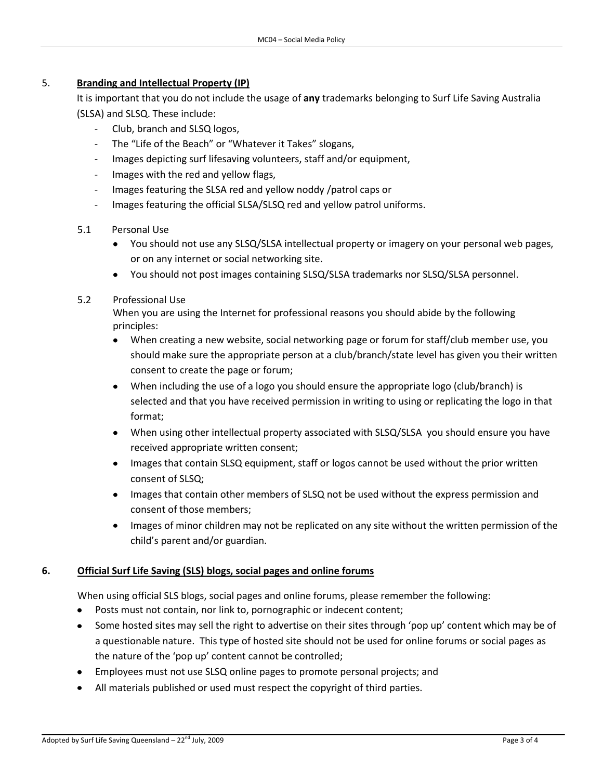## 5. **Branding and Intellectual Property (IP)**

It is important that you do not include the usage of **any** trademarks belonging to Surf Life Saving Australia (SLSA) and SLSQ. These include:

- Club, branch and SLSQ logos,
- The "Life of the Beach" or "Whatever it Takes" slogans,
- Images depicting surf lifesaving volunteers, staff and/or equipment,
- Images with the red and yellow flags,
- Images featuring the SLSA red and yellow noddy /patrol caps or
- Images featuring the official SLSA/SLSQ red and yellow patrol uniforms.
- 5.1 Personal Use
	- You should not use any SLSQ/SLSA intellectual property or imagery on your personal web pages, or on any internet or social networking site.
	- You should not post images containing SLSQ/SLSA trademarks nor SLSQ/SLSA personnel.

## 5.2 Professional Use

When you are using the Internet for professional reasons you should abide by the following principles:

- When creating a new website, social networking page or forum for staff/club member use, you  $\bullet$ should make sure the appropriate person at a club/branch/state level has given you their written consent to create the page or forum;
- When including the use of a logo you should ensure the appropriate logo (club/branch) is selected and that you have received permission in writing to using or replicating the logo in that format;
- When using other intellectual property associated with SLSQ/SLSA you should ensure you have received appropriate written consent;
- Images that contain SLSQ equipment, staff or logos cannot be used without the prior written consent of SLSQ;
- Images that contain other members of SLSQ not be used without the express permission and consent of those members;
- Images of minor children may not be replicated on any site without the written permission of the child's parent and/or guardian.

## **6. Official Surf Life Saving (SLS) blogs, social pages and online forums**

When using official SLS blogs, social pages and online forums, please remember the following:

- Posts must not contain, nor link to, pornographic or indecent content;
- Some hosted sites may sell the right to advertise on their sites through 'pop up' content which may be of a questionable nature. This type of hosted site should not be used for online forums or social pages as the nature of the 'pop up' content cannot be controlled;
- Employees must not use SLSQ online pages to promote personal projects; and
- All materials published or used must respect the copyright of third parties.